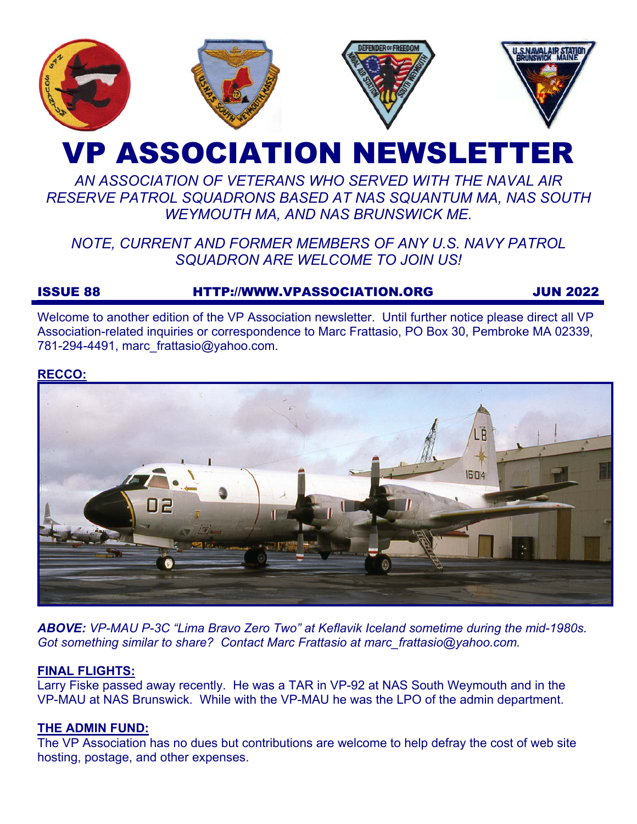

# VP ASSOCIATION NEWSLETTER

# *AN ASSOCIATION OF VETERANS WHO SERVED WITH THE NAVAL AIR RESERVE PATROL SQUADRONS BASED AT NAS SQUANTUM MA, NAS SOUTH WEYMOUTH MA, AND NAS BRUNSWICK ME.*

# *NOTE, CURRENT AND FORMER MEMBERS OF ANY U.S. NAVY PATROL SQUADRON ARE WELCOME TO JOIN US!*

# ISSUE 88 HTTP://WWW.VPASSOCIATION.ORG JUN 2022

Welcome to another edition of the VP Association newsletter. Until further notice please direct all VP Association-related inquiries or correspondence to Marc Frattasio, PO Box 30, Pembroke MA 02339, 781-294-4491, marc\_frattasio@yahoo.com.

#### **RECCO:**



*ABOVE: VP-MAU P-3C "Lima Bravo Zero Two" at Keflavik Iceland sometime during the mid-1980s. Got something similar to share? Contact Marc Frattasio at marc\_frattasio@yahoo.com.* 

# **FINAL FLIGHTS:**

Larry Fiske passed away recently. He was a TAR in VP-92 at NAS South Weymouth and in the VP-MAU at NAS Brunswick. While with the VP-MAU he was the LPO of the admin department.

# **THE ADMIN FUND:**

The VP Association has no dues but contributions are welcome to help defray the cost of web site hosting, postage, and other expenses.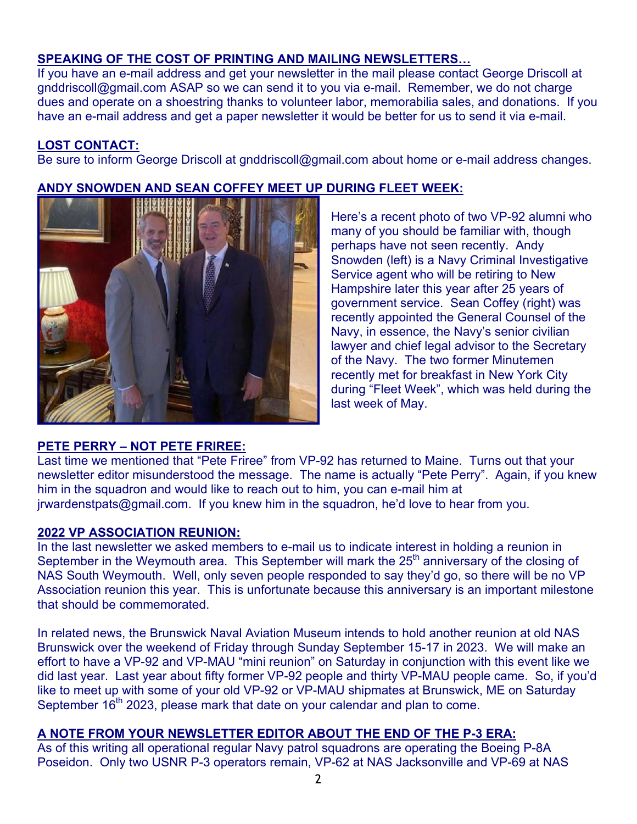# **SPEAKING OF THE COST OF PRINTING AND MAILING NEWSLETTERS…**

**ANDY SNOWDEN AND SEAN COFFEY MEET UP DURING FLEET WEEK:**

If you have an e-mail address and get your newsletter in the mail please contact George Driscoll at gnddriscoll@gmail.com ASAP so we can send it to you via e-mail. Remember, we do not charge dues and operate on a shoestring thanks to volunteer labor, memorabilia sales, and donations. If you have an e-mail address and get a paper newsletter it would be better for us to send it via e-mail.

### **LOST CONTACT:**

Be sure to inform George Driscoll at gnddriscoll@gmail.com about home or e-mail address changes.

#### **PETE PERRY – NOT PETE FRIREE:**

Here's a recent photo of two VP-92 alumni who many of you should be familiar with, though perhaps have not seen recently. Andy Snowden (left) is a Navy Criminal Investigative Service agent who will be retiring to New Hampshire later this year after 25 years of government service. Sean Coffey (right) was recently appointed the General Counsel of the Navy, in essence, the Navy's senior civilian lawyer and chief legal advisor to the Secretary of the Navy. The two former Minutemen recently met for breakfast in New York City during "Fleet Week", which was held during the last week of May.

Last time we mentioned that "Pete Friree" from VP-92 has returned to Maine. Turns out that your newsletter editor misunderstood the message. The name is actually "Pete Perry". Again, if you knew him in the squadron and would like to reach out to him, you can e-mail him at jrwardenstpats@gmail.com. If you knew him in the squadron, he'd love to hear from you.

#### **2022 VP ASSOCIATION REUNION:**

In the last newsletter we asked members to e-mail us to indicate interest in holding a reunion in September in the Weymouth area. This September will mark the  $25<sup>th</sup>$  anniversary of the closing of NAS South Weymouth. Well, only seven people responded to say they'd go, so there will be no VP Association reunion this year. This is unfortunate because this anniversary is an important milestone that should be commemorated.

In related news, the Brunswick Naval Aviation Museum intends to hold another reunion at old NAS Brunswick over the weekend of Friday through Sunday September 15-17 in 2023. We will make an effort to have a VP-92 and VP-MAU "mini reunion" on Saturday in conjunction with this event like we did last year. Last year about fifty former VP-92 people and thirty VP-MAU people came. So, if you'd like to meet up with some of your old VP-92 or VP-MAU shipmates at Brunswick, ME on Saturday September 16<sup>th</sup> 2023, please mark that date on your calendar and plan to come.

# **A NOTE FROM YOUR NEWSLETTER EDITOR ABOUT THE END OF THE P-3 ERA:**

As of this writing all operational regular Navy patrol squadrons are operating the Boeing P-8A Poseidon. Only two USNR P-3 operators remain, VP-62 at NAS Jacksonville and VP-69 at NAS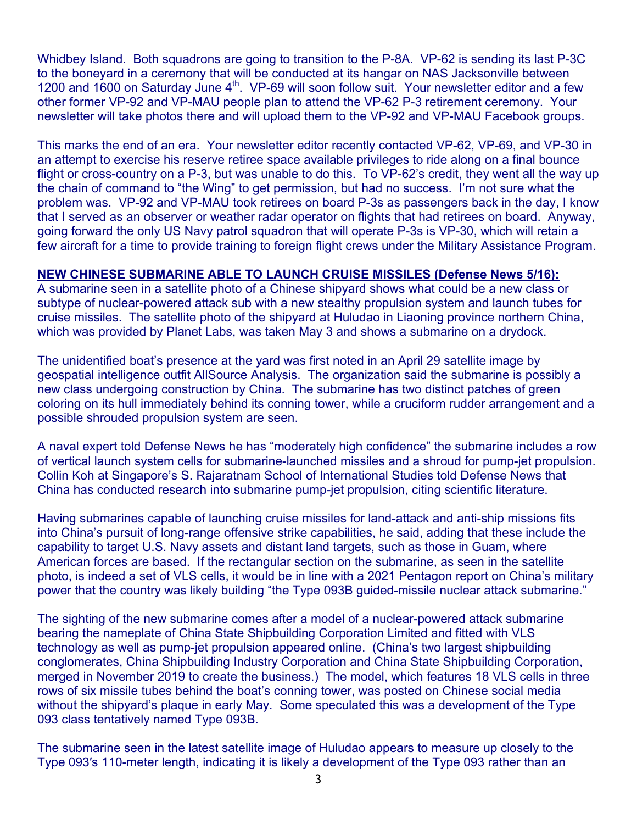Whidbey Island. Both squadrons are going to transition to the P-8A. VP-62 is sending its last P-3C to the boneyard in a ceremony that will be conducted at its hangar on NAS Jacksonville between 1200 and 1600 on Saturday June 4<sup>th</sup>. VP-69 will soon follow suit. Your newsletter editor and a few other former VP-92 and VP-MAU people plan to attend the VP-62 P-3 retirement ceremony. Your newsletter will take photos there and will upload them to the VP-92 and VP-MAU Facebook groups.

This marks the end of an era. Your newsletter editor recently contacted VP-62, VP-69, and VP-30 in an attempt to exercise his reserve retiree space available privileges to ride along on a final bounce flight or cross-country on a P-3, but was unable to do this. To VP-62's credit, they went all the way up the chain of command to "the Wing" to get permission, but had no success. I'm not sure what the problem was. VP-92 and VP-MAU took retirees on board P-3s as passengers back in the day, I know that I served as an observer or weather radar operator on flights that had retirees on board. Anyway, going forward the only US Navy patrol squadron that will operate P-3s is VP-30, which will retain a few aircraft for a time to provide training to foreign flight crews under the Military Assistance Program.

### **NEW CHINESE SUBMARINE ABLE TO LAUNCH CRUISE MISSILES (Defense News 5/16):**

A submarine seen in a satellite photo of a Chinese shipyard shows what could be a new class or subtype of nuclear-powered attack sub with a new stealthy propulsion system and launch tubes for cruise missiles. The satellite photo of the shipyard at Huludao in Liaoning province northern China, which was provided by Planet Labs, was taken May 3 and shows a submarine on a drydock.

The unidentified boat's presence at the yard was first noted in an April 29 satellite image by geospatial intelligence outfit AllSource Analysis. The organization said the submarine is possibly a new class undergoing construction by China. The submarine has two distinct patches of green coloring on its hull immediately behind its conning tower, while a cruciform rudder arrangement and a possible shrouded propulsion system are seen.

A naval expert told Defense News he has "moderately high confidence" the submarine includes a row of vertical launch system cells for submarine-launched missiles and a shroud for pump-jet propulsion. Collin Koh at Singapore's S. Rajaratnam School of International Studies told Defense News that China has conducted research into submarine pump-jet propulsion, citing scientific literature.

Having submarines capable of launching cruise missiles for land-attack and anti-ship missions fits into China's pursuit of long-range offensive strike capabilities, he said, adding that these include the capability to target U.S. Navy assets and distant land targets, such as those in Guam, where American forces are based. If the rectangular section on the submarine, as seen in the satellite photo, is indeed a set of VLS cells, it would be in line with a 2021 Pentagon report on China's military power that the country was likely building "the Type 093B guided-missile nuclear attack submarine."

The sighting of the new submarine comes after a model of a nuclear-powered attack submarine bearing the nameplate of China State Shipbuilding Corporation Limited and fitted with VLS technology as well as pump-jet propulsion appeared online. (China's two largest shipbuilding conglomerates, China Shipbuilding Industry Corporation and China State Shipbuilding Corporation, merged in November 2019 to create the business.) The model, which features 18 VLS cells in three rows of six missile tubes behind the boat's conning tower, was posted on Chinese social media without the shipyard's plaque in early May. Some speculated this was a development of the Type 093 class tentatively named Type 093B.

The submarine seen in the latest satellite image of Huludao appears to measure up closely to the Type 093′s 110-meter length, indicating it is likely a development of the Type 093 rather than an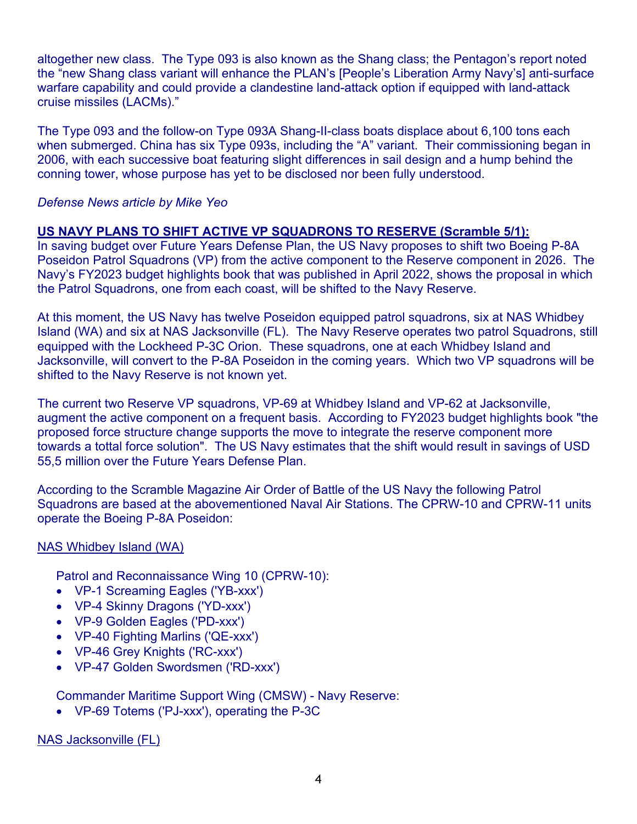altogether new class. The Type 093 is also known as the Shang class; the Pentagon's report noted the "new Shang class variant will enhance the PLAN's [People's Liberation Army Navy's] anti-surface warfare capability and could provide a clandestine land-attack option if equipped with land-attack cruise missiles (LACMs)."

The Type 093 and the follow-on Type 093A Shang-II-class boats displace about 6,100 tons each when submerged. China has six Type 093s, including the "A" variant. Their commissioning began in 2006, with each successive boat featuring slight differences in sail design and a hump behind the conning tower, whose purpose has yet to be disclosed nor been fully understood.

#### *Defense News article by Mike Yeo*

### **US NAVY PLANS TO SHIFT ACTIVE VP SQUADRONS TO RESERVE (Scramble 5/1):**

In saving budget over Future Years Defense Plan, the US Navy proposes to shift two Boeing P-8A Poseidon Patrol Squadrons (VP) from the active component to the Reserve component in 2026. The Navy's FY2023 budget highlights book that was published in April 2022, shows the proposal in which the Patrol Squadrons, one from each coast, will be shifted to the Navy Reserve.

At this moment, the US Navy has twelve Poseidon equipped patrol squadrons, six at NAS Whidbey Island (WA) and six at NAS Jacksonville (FL). The Navy Reserve operates two patrol Squadrons, still equipped with the Lockheed P-3C Orion. These squadrons, one at each Whidbey Island and Jacksonville, will convert to the P-8A Poseidon in the coming years. Which two VP squadrons will be shifted to the Navy Reserve is not known yet.

The current two Reserve VP squadrons, VP-69 at Whidbey Island and VP-62 at Jacksonville, augment the active component on a frequent basis. According to FY2023 budget highlights book "the proposed force structure change supports the move to integrate the reserve component more towards a tottal force solution". The US Navy estimates that the shift would result in savings of USD 55,5 million over the Future Years Defense Plan.

According to the Scramble Magazine Air Order of Battle of the US Navy the following Patrol Squadrons are based at the abovementioned Naval Air Stations. The CPRW-10 and CPRW-11 units operate the Boeing P-8A Poseidon:

#### NAS Whidbey Island (WA)

Patrol and Reconnaissance Wing 10 (CPRW-10):

- VP-1 Screaming Eagles ('YB-xxx')
- VP-4 Skinny Dragons ('YD-xxx')
- VP-9 Golden Eagles ('PD-xxx')
- VP-40 Fighting Marlins ('QE-xxx')
- VP-46 Grey Knights ('RC-xxx')
- VP-47 Golden Swordsmen ('RD-xxx')

Commander Maritime Support Wing (CMSW) - Navy Reserve:

• VP-69 Totems ('PJ-xxx'), operating the P-3C

NAS Jacksonville (FL)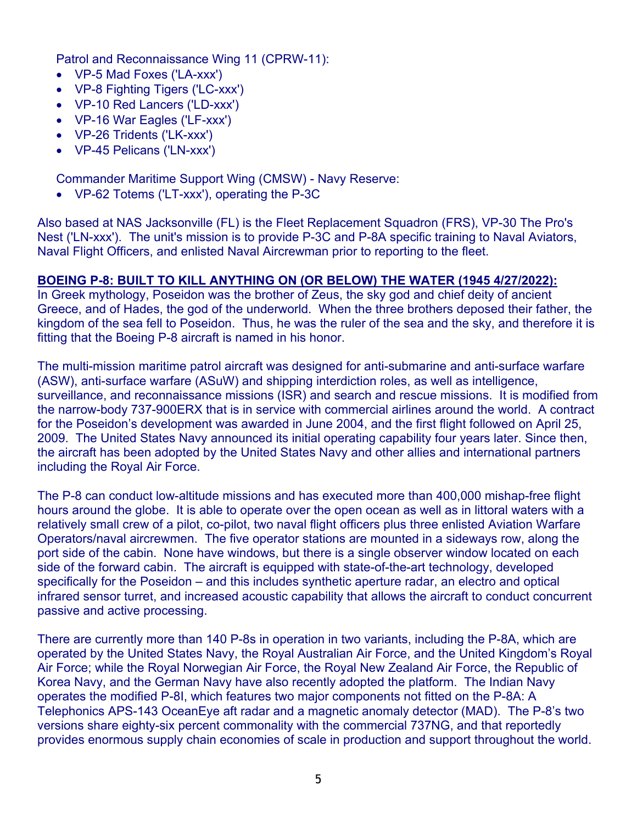Patrol and Reconnaissance Wing 11 (CPRW-11):

- VP-5 Mad Foxes ('LA-xxx')
- VP-8 Fighting Tigers ('LC-xxx')
- VP-10 Red Lancers ('LD-xxx')
- VP-16 War Eagles ('LF-xxx')
- VP-26 Tridents ('LK-xxx')
- VP-45 Pelicans ('LN-xxx')

Commander Maritime Support Wing (CMSW) - Navy Reserve:

• VP-62 Totems ('LT-xxx'), operating the P-3C

Also based at NAS Jacksonville (FL) is the Fleet Replacement Squadron (FRS), VP-30 The Pro's Nest ('LN-xxx'). The unit's mission is to provide P-3C and P-8A specific training to Naval Aviators, Naval Flight Officers, and enlisted Naval Aircrewman prior to reporting to the fleet.

### **BOEING P-8: BUILT TO KILL ANYTHING ON (OR BELOW) THE WATER (1945 4/27/2022):**

In Greek mythology, Poseidon was the brother of Zeus, the sky god and chief deity of ancient Greece, and of Hades, the god of the underworld. When the three brothers deposed their father, the kingdom of the sea fell to Poseidon. Thus, he was the ruler of the sea and the sky, and therefore it is fitting that the Boeing P-8 aircraft is named in his honor.

The multi-mission maritime patrol aircraft was designed for anti-submarine and anti-surface warfare (ASW), anti-surface warfare (ASuW) and shipping interdiction roles, as well as intelligence, surveillance, and reconnaissance missions (ISR) and search and rescue missions. It is modified from the narrow-body 737-900ERX that is in service with commercial airlines around the world. A contract for the Poseidon's development was awarded in June 2004, and the first flight followed on April 25, 2009. The United States Navy announced its initial operating capability four years later. Since then, the aircraft has been adopted by the United States Navy and other allies and international partners including the Royal Air Force.

The P-8 can conduct low-altitude missions and has executed more than 400,000 mishap-free flight hours around the globe. It is able to operate over the open ocean as well as in littoral waters with a relatively small crew of a pilot, co-pilot, two naval flight officers plus three enlisted Aviation Warfare Operators/naval aircrewmen. The five operator stations are mounted in a sideways row, along the port side of the cabin. None have windows, but there is a single observer window located on each side of the forward cabin. The aircraft is equipped with state-of-the-art technology, developed specifically for the Poseidon – and this includes synthetic aperture radar, an electro and optical infrared sensor turret, and increased acoustic capability that allows the aircraft to conduct concurrent passive and active processing.

There are currently more than 140 P-8s in operation in two variants, including the P-8A, which are operated by the United States Navy, the Royal Australian Air Force, and the United Kingdom's Royal Air Force; while the Royal Norwegian Air Force, the Royal New Zealand Air Force, the Republic of Korea Navy, and the German Navy have also recently adopted the platform. The Indian Navy operates the modified P-8I, which features two major components not fitted on the P-8A: A Telephonics APS-143 OceanEye aft radar and a magnetic anomaly detector (MAD). The P-8's two versions share eighty-six percent commonality with the commercial 737NG, and that reportedly provides enormous supply chain economies of scale in production and support throughout the world.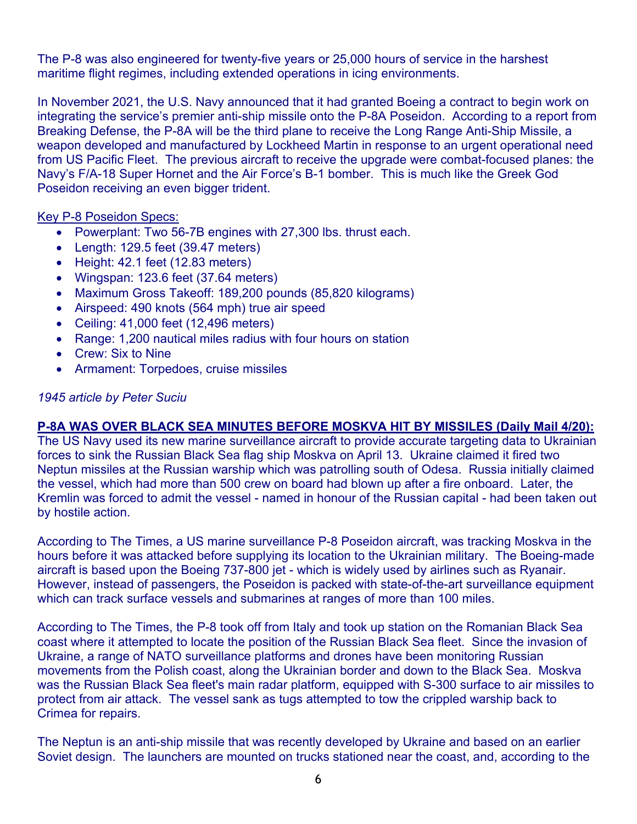The P-8 was also engineered for twenty-five years or 25,000 hours of service in the harshest maritime flight regimes, including extended operations in icing environments.

In November 2021, the U.S. Navy announced that it had granted Boeing a contract to begin work on integrating the service's premier anti-ship missile onto the P-8A Poseidon. According to a report from Breaking Defense, the P-8A will be the third plane to receive the Long Range Anti-Ship Missile, a weapon developed and manufactured by Lockheed Martin in response to an urgent operational need from US Pacific Fleet. The previous aircraft to receive the upgrade were combat-focused planes: the Navy's F/A-18 Super Hornet and the Air Force's B-1 bomber. This is much like the Greek God Poseidon receiving an even bigger trident.

#### Key P-8 Poseidon Specs:

- Powerplant: Two 56-7B engines with 27,300 lbs. thrust each.
- Length: 129.5 feet (39.47 meters)
- Height:  $42.1$  feet (12.83 meters)
- Wingspan: 123.6 feet (37.64 meters)
- Maximum Gross Takeoff: 189,200 pounds (85,820 kilograms)
- Airspeed: 490 knots (564 mph) true air speed
- Ceiling: 41,000 feet (12,496 meters)
- Range: 1,200 nautical miles radius with four hours on station
- Crew: Six to Nine
- Armament: Torpedoes, cruise missiles

#### *1945 article by Peter Suciu*

#### **P-8A WAS OVER BLACK SEA MINUTES BEFORE MOSKVA HIT BY MISSILES (Daily Mail 4/20):**

The US Navy used its new marine surveillance aircraft to provide accurate targeting data to Ukrainian forces to sink the Russian Black Sea flag ship Moskva on April 13. Ukraine claimed it fired two Neptun missiles at the Russian warship which was patrolling south of Odesa. Russia initially claimed the vessel, which had more than 500 crew on board had blown up after a fire onboard. Later, the Kremlin was forced to admit the vessel - named in honour of the Russian capital - had been taken out by hostile action.

According to The Times, a US marine surveillance P-8 Poseidon aircraft, was tracking Moskva in the hours before it was attacked before supplying its location to the Ukrainian military. The Boeing-made aircraft is based upon the Boeing 737-800 jet - which is widely used by airlines such as Ryanair. However, instead of passengers, the Poseidon is packed with state-of-the-art surveillance equipment which can track surface vessels and submarines at ranges of more than 100 miles.

According to The Times, the P-8 took off from Italy and took up station on the Romanian Black Sea coast where it attempted to locate the position of the Russian Black Sea fleet. Since the invasion of Ukraine, a range of NATO surveillance platforms and drones have been monitoring Russian movements from the Polish coast, along the Ukrainian border and down to the Black Sea. Moskva was the Russian Black Sea fleet's main radar platform, equipped with S-300 surface to air missiles to protect from air attack. The vessel sank as tugs attempted to tow the crippled warship back to Crimea for repairs.

The Neptun is an anti-ship missile that was recently developed by Ukraine and based on an earlier Soviet design. The launchers are mounted on trucks stationed near the coast, and, according to the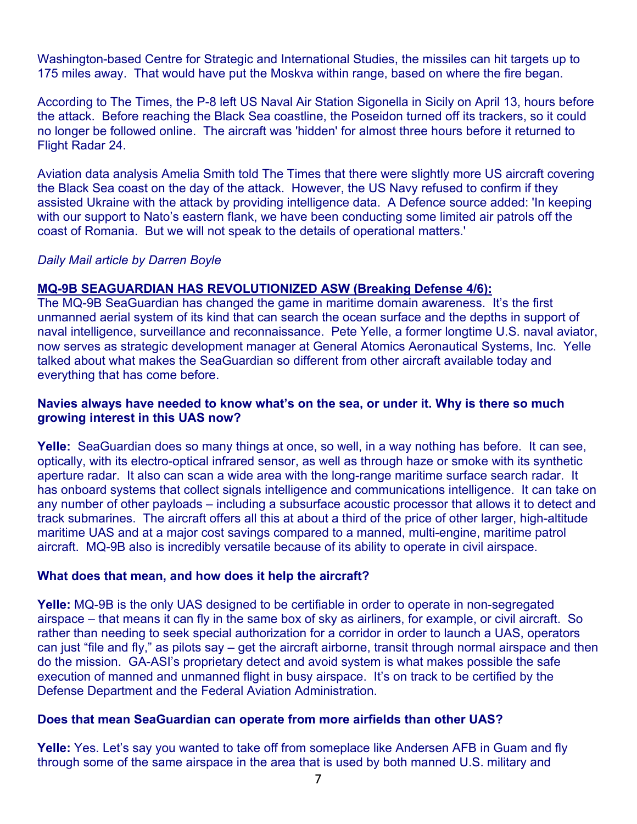Washington-based Centre for Strategic and International Studies, the missiles can hit targets up to 175 miles away. That would have put the Moskva within range, based on where the fire began.

According to The Times, the P-8 left US Naval Air Station Sigonella in Sicily on April 13, hours before the attack. Before reaching the Black Sea coastline, the Poseidon turned off its trackers, so it could no longer be followed online. The aircraft was 'hidden' for almost three hours before it returned to Flight Radar 24.

Aviation data analysis Amelia Smith told The Times that there were slightly more US aircraft covering the Black Sea coast on the day of the attack. However, the US Navy refused to confirm if they assisted Ukraine with the attack by providing intelligence data. A Defence source added: 'In keeping with our support to Nato's eastern flank, we have been conducting some limited air patrols off the coast of Romania. But we will not speak to the details of operational matters.'

#### *Daily Mail article by Darren Boyle*

#### **MQ-9B SEAGUARDIAN HAS REVOLUTIONIZED ASW (Breaking Defense 4/6):**

The MQ-9B SeaGuardian has changed the game in maritime domain awareness. It's the first unmanned aerial system of its kind that can search the ocean surface and the depths in support of naval intelligence, surveillance and reconnaissance. Pete Yelle, a former longtime U.S. naval aviator, now serves as strategic development manager at General Atomics Aeronautical Systems, Inc. Yelle talked about what makes the SeaGuardian so different from other aircraft available today and everything that has come before.

#### **Navies always have needed to know what's on the sea, or under it. Why is there so much growing interest in this UAS now?**

**Yelle:** SeaGuardian does so many things at once, so well, in a way nothing has before. It can see, optically, with its electro-optical infrared sensor, as well as through haze or smoke with its synthetic aperture radar. It also can scan a wide area with the long-range maritime surface search radar. It has onboard systems that collect signals intelligence and communications intelligence. It can take on any number of other payloads – including a subsurface acoustic processor that allows it to detect and track submarines. The aircraft offers all this at about a third of the price of other larger, high-altitude maritime UAS and at a major cost savings compared to a manned, multi-engine, maritime patrol aircraft. MQ-9B also is incredibly versatile because of its ability to operate in civil airspace.

#### **What does that mean, and how does it help the aircraft?**

**Yelle:** MQ-9B is the only UAS designed to be certifiable in order to operate in non-segregated airspace – that means it can fly in the same box of sky as airliners, for example, or civil aircraft. So rather than needing to seek special authorization for a corridor in order to launch a UAS, operators can just "file and fly," as pilots say – get the aircraft airborne, transit through normal airspace and then do the mission. GA-ASI's proprietary detect and avoid system is what makes possible the safe execution of manned and unmanned flight in busy airspace. It's on track to be certified by the Defense Department and the Federal Aviation Administration.

#### **Does that mean SeaGuardian can operate from more airfields than other UAS?**

**Yelle:** Yes. Let's say you wanted to take off from someplace like Andersen AFB in Guam and fly through some of the same airspace in the area that is used by both manned U.S. military and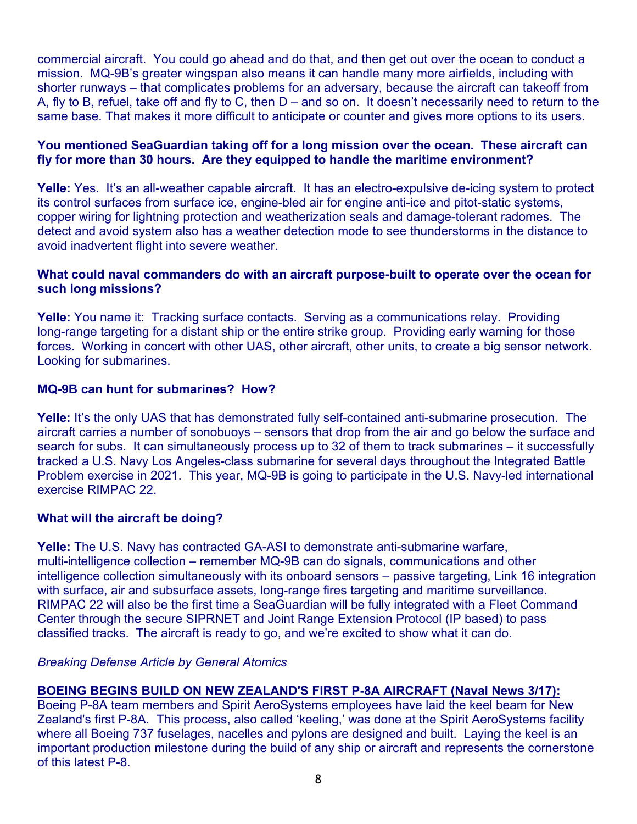commercial aircraft. You could go ahead and do that, and then get out over the ocean to conduct a mission. MQ-9B's greater wingspan also means it can handle many more airfields, including with shorter runways – that complicates problems for an adversary, because the aircraft can takeoff from A, fly to B, refuel, take off and fly to C, then D – and so on. It doesn't necessarily need to return to the same base. That makes it more difficult to anticipate or counter and gives more options to its users.

#### **You mentioned SeaGuardian taking off for a long mission over the ocean. These aircraft can fly for more than 30 hours. Are they equipped to handle the maritime environment?**

**Yelle:** Yes. It's an all-weather capable aircraft. It has an electro-expulsive de-icing system to protect its control surfaces from surface ice, engine-bled air for engine anti-ice and pitot-static systems, copper wiring for lightning protection and weatherization seals and damage-tolerant radomes. The detect and avoid system also has a weather detection mode to see thunderstorms in the distance to avoid inadvertent flight into severe weather.

### **What could naval commanders do with an aircraft purpose-built to operate over the ocean for such long missions?**

**Yelle:** You name it: Tracking surface contacts. Serving as a communications relay. Providing long-range targeting for a distant ship or the entire strike group. Providing early warning for those forces. Working in concert with other UAS, other aircraft, other units, to create a big sensor network. Looking for submarines.

### **MQ-9B can hunt for submarines? How?**

**Yelle:** It's the only UAS that has demonstrated fully self-contained anti-submarine prosecution. The aircraft carries a number of sonobuoys – sensors that drop from the air and go below the surface and search for subs. It can simultaneously process up to 32 of them to track submarines – it successfully tracked a U.S. Navy Los Angeles-class submarine for several days throughout the Integrated Battle Problem exercise in 2021. This year, MQ-9B is going to participate in the U.S. Navy-led international exercise RIMPAC 22.

# **What will the aircraft be doing?**

**Yelle:** The U.S. Navy has contracted GA-ASI to demonstrate anti-submarine warfare, multi-intelligence collection – remember MQ-9B can do signals, communications and other intelligence collection simultaneously with its onboard sensors – passive targeting, Link 16 integration with surface, air and subsurface assets, long-range fires targeting and maritime surveillance. RIMPAC 22 will also be the first time a SeaGuardian will be fully integrated with a Fleet Command Center through the secure SIPRNET and Joint Range Extension Protocol (IP based) to pass classified tracks. The aircraft is ready to go, and we're excited to show what it can do.

#### *Breaking Defense Article by General Atomics*

# **BOEING BEGINS BUILD ON NEW ZEALAND'S FIRST P-8A AIRCRAFT (Naval News 3/17):**

Boeing P-8A team members and Spirit AeroSystems employees have laid the keel beam for New Zealand's first P-8A. This process, also called 'keeling,' was done at the Spirit AeroSystems facility where all Boeing 737 fuselages, nacelles and pylons are designed and built. Laying the keel is an important production milestone during the build of any ship or aircraft and represents the cornerstone of this latest P-8.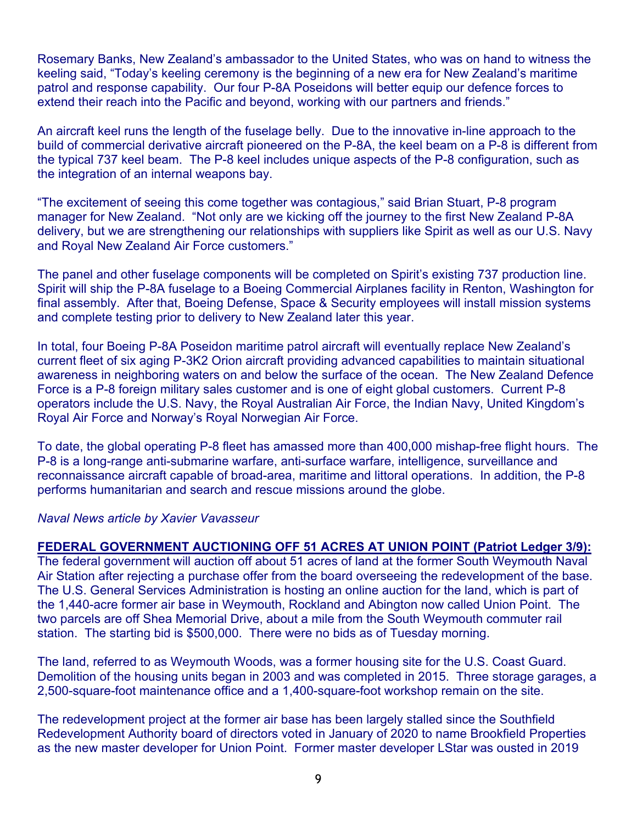Rosemary Banks, New Zealand's ambassador to the United States, who was on hand to witness the keeling said, "Today's keeling ceremony is the beginning of a new era for New Zealand's maritime patrol and response capability. Our four P-8A Poseidons will better equip our defence forces to extend their reach into the Pacific and beyond, working with our partners and friends."

An aircraft keel runs the length of the fuselage belly. Due to the innovative in-line approach to the build of commercial derivative aircraft pioneered on the P-8A, the keel beam on a P-8 is different from the typical 737 keel beam. The P-8 keel includes unique aspects of the P-8 configuration, such as the integration of an internal weapons bay.

"The excitement of seeing this come together was contagious," said Brian Stuart, P-8 program manager for New Zealand. "Not only are we kicking off the journey to the first New Zealand P-8A delivery, but we are strengthening our relationships with suppliers like Spirit as well as our U.S. Navy and Royal New Zealand Air Force customers."

The panel and other fuselage components will be completed on Spirit's existing 737 production line. Spirit will ship the P-8A fuselage to a Boeing Commercial Airplanes facility in Renton, Washington for final assembly. After that, Boeing Defense, Space & Security employees will install mission systems and complete testing prior to delivery to New Zealand later this year.

In total, four Boeing P-8A Poseidon maritime patrol aircraft will eventually replace New Zealand's current fleet of six aging P-3K2 Orion aircraft providing advanced capabilities to maintain situational awareness in neighboring waters on and below the surface of the ocean. The New Zealand Defence Force is a P-8 foreign military sales customer and is one of eight global customers. Current P-8 operators include the U.S. Navy, the Royal Australian Air Force, the Indian Navy, United Kingdom's Royal Air Force and Norway's Royal Norwegian Air Force.

To date, the global operating P-8 fleet has amassed more than 400,000 mishap-free flight hours. The P-8 is a long-range anti-submarine warfare, anti-surface warfare, intelligence, surveillance and reconnaissance aircraft capable of broad-area, maritime and littoral operations. In addition, the P-8 performs humanitarian and search and rescue missions around the globe.

#### *Naval News article by Xavier Vavasseur*

#### **FEDERAL GOVERNMENT AUCTIONING OFF 51 ACRES AT UNION POINT (Patriot Ledger 3/9):**

The federal government will auction off about 51 acres of land at the former South Weymouth Naval Air Station after rejecting a purchase offer from the board overseeing the redevelopment of the base. The U.S. General Services Administration is hosting an online auction for the land, which is part of the 1,440-acre former air base in Weymouth, Rockland and Abington now called Union Point. The two parcels are off Shea Memorial Drive, about a mile from the South Weymouth commuter rail station. The starting bid is \$500,000. There were no bids as of Tuesday morning.

The land, referred to as Weymouth Woods, was a former housing site for the U.S. Coast Guard. Demolition of the housing units began in 2003 and was completed in 2015. Three storage garages, a 2,500-square-foot maintenance office and a 1,400-square-foot workshop remain on the site.

The redevelopment project at the former air base has been largely stalled since the Southfield Redevelopment Authority board of directors voted in January of 2020 to name Brookfield Properties as the new master developer for Union Point. Former master developer LStar was ousted in 2019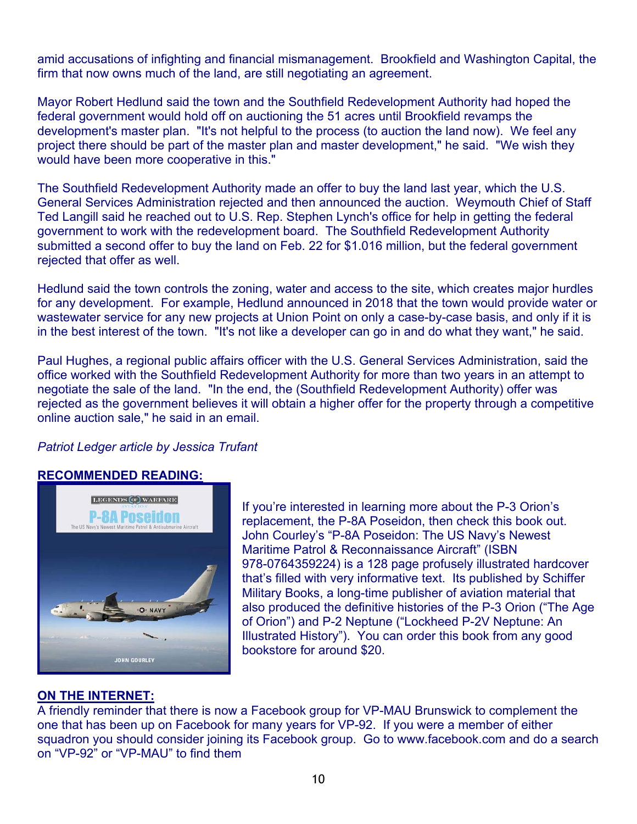amid accusations of infighting and financial mismanagement. Brookfield and Washington Capital, the firm that now owns much of the land, are still negotiating an agreement.

Mayor Robert Hedlund said the town and the Southfield Redevelopment Authority had hoped the federal government would hold off on auctioning the 51 acres until Brookfield revamps the development's master plan. "It's not helpful to the process (to auction the land now). We feel any project there should be part of the master plan and master development," he said. "We wish they would have been more cooperative in this."

The Southfield Redevelopment Authority made an offer to buy the land last year, which the U.S. General Services Administration rejected and then announced the auction. Weymouth Chief of Staff Ted Langill said he reached out to U.S. Rep. Stephen Lynch's office for help in getting the federal government to work with the redevelopment board. The Southfield Redevelopment Authority submitted a second offer to buy the land on Feb. 22 for \$1.016 million, but the federal government rejected that offer as well.

Hedlund said the town controls the zoning, water and access to the site, which creates major hurdles for any development. For example, Hedlund announced in 2018 that the town would provide water or wastewater service for any new projects at Union Point on only a case-by-case basis, and only if it is in the best interest of the town. "It's not like a developer can go in and do what they want," he said.

Paul Hughes, a regional public affairs officer with the U.S. General Services Administration, said the office worked with the Southfield Redevelopment Authority for more than two years in an attempt to negotiate the sale of the land. "In the end, the (Southfield Redevelopment Authority) offer was rejected as the government believes it will obtain a higher offer for the property through a competitive online auction sale," he said in an email.

#### *Patriot Ledger article by Jessica Trufant*

#### **RECOMMENDED READING:**



If you're interested in learning more about the P-3 Orion's replacement, the P-8A Poseidon, then check this book out. John Courley's "P-8A Poseidon: The US Navy's Newest Maritime Patrol & Reconnaissance Aircraft" (ISBN 978-0764359224) is a 128 page profusely illustrated hardcover that's filled with very informative text. Its published by Schiffer Military Books, a long-time publisher of aviation material that also produced the definitive histories of the P-3 Orion ("The Age of Orion") and P-2 Neptune ("Lockheed P-2V Neptune: An Illustrated History"). You can order this book from any good bookstore for around \$20.

#### **ON THE INTERNET:**

A friendly reminder that there is now a Facebook group for VP-MAU Brunswick to complement the one that has been up on Facebook for many years for VP-92. If you were a member of either squadron you should consider joining its Facebook group. Go to www.facebook.com and do a search on "VP-92" or "VP-MAU" to find them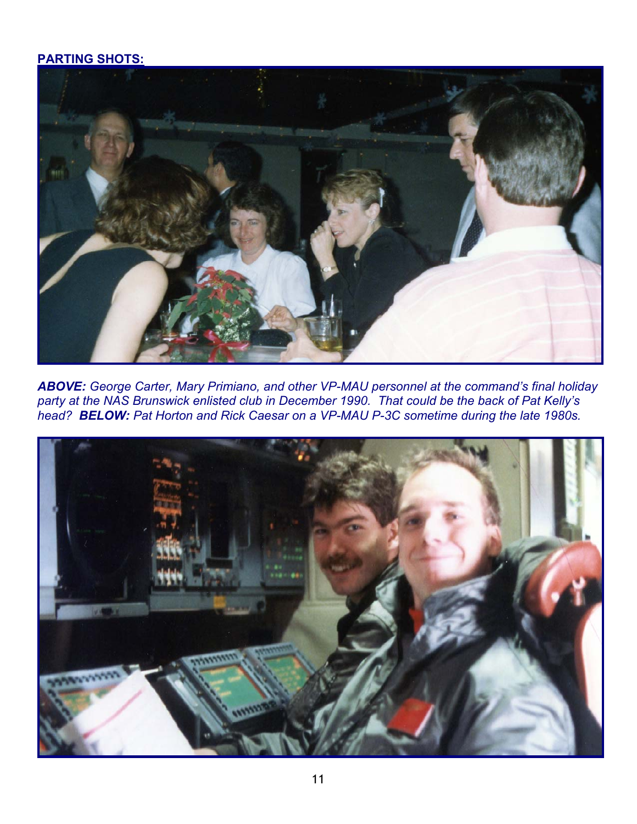# **PARTING SHOTS:**



*ABOVE: George Carter, Mary Primiano, and other VP-MAU personnel at the command's final holiday party at the NAS Brunswick enlisted club in December 1990. That could be the back of Pat Kelly's head? BELOW: Pat Horton and Rick Caesar on a VP-MAU P-3C sometime during the late 1980s.*